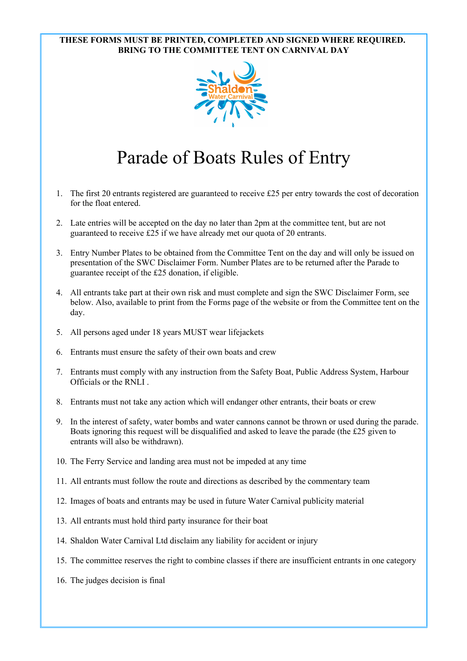## **THESE FORMS MUST BE PRINTED, COMPLETED AND SIGNED WHERE REQUIRED. BRING TO THE COMMITTEE TENT ON CARNIVAL DAY**



## Parade of Boats Rules of Entry

- 1. The first 20 entrants registered are guaranteed to receive £25 per entry towards the cost of decoration for the float entered.
- 2. Late entries will be accepted on the day no later than 2pm at the committee tent, but are not guaranteed to receive £25 if we have already met our quota of 20 entrants.
- 3. Entry Number Plates to be obtained from the Committee Tent on the day and will only be issued on presentation of the SWC Disclaimer Form. Number Plates are to be returned after the Parade to guarantee receipt of the £25 donation, if eligible.
- 4. All entrants take part at their own risk and must complete and sign the SWC Disclaimer Form, see below. Also, available to print from the Forms page of the website or from the Committee tent on the day.
- 5. All persons aged under 18 years MUST wear lifejackets
- 6. Entrants must ensure the safety of their own boats and crew
- 7. Entrants must comply with any instruction from the Safety Boat, Public Address System, Harbour Officials or the RNLI .
- 8. Entrants must not take any action which will endanger other entrants, their boats or crew
- 9. In the interest of safety, water bombs and water cannons cannot be thrown or used during the parade. Boats ignoring this request will be disqualified and asked to leave the parade (the £25 given to entrants will also be withdrawn).
- 10. The Ferry Service and landing area must not be impeded at any time
- 11. All entrants must follow the route and directions as described by the commentary team
- 12. Images of boats and entrants may be used in future Water Carnival publicity material
- 13. All entrants must hold third party insurance for their boat
- 14. Shaldon Water Carnival Ltd disclaim any liability for accident or injury
- 15. The committee reserves the right to combine classes if there are insufficient entrants in one category
- 16. The judges decision is final